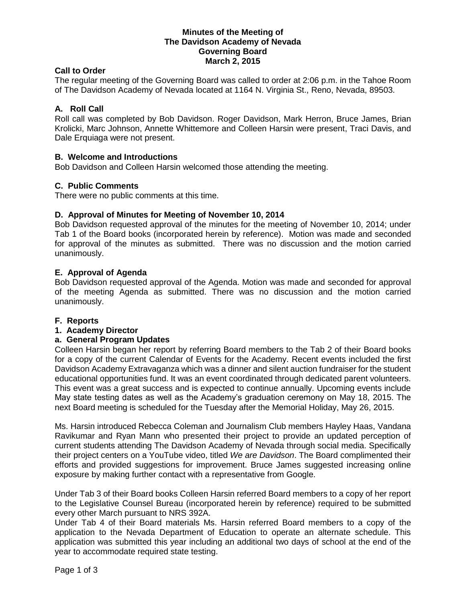### **Minutes of the Meeting of The Davidson Academy of Nevada Governing Board March 2, 2015**

## **Call to Order**

The regular meeting of the Governing Board was called to order at 2:06 p.m. in the Tahoe Room of The Davidson Academy of Nevada located at 1164 N. Virginia St., Reno, Nevada, 89503.

## **A. Roll Call**

Roll call was completed by Bob Davidson. Roger Davidson, Mark Herron, Bruce James, Brian Krolicki, Marc Johnson, Annette Whittemore and Colleen Harsin were present, Traci Davis, and Dale Erquiaga were not present.

#### **B. Welcome and Introductions**

Bob Davidson and Colleen Harsin welcomed those attending the meeting.

#### **C. Public Comments**

There were no public comments at this time.

#### **D. Approval of Minutes for Meeting of November 10, 2014**

Bob Davidson requested approval of the minutes for the meeting of November 10, 2014; under Tab 1 of the Board books (incorporated herein by reference). Motion was made and seconded for approval of the minutes as submitted. There was no discussion and the motion carried unanimously.

#### **E. Approval of Agenda**

Bob Davidson requested approval of the Agenda. Motion was made and seconded for approval of the meeting Agenda as submitted. There was no discussion and the motion carried unanimously.

#### **F. Reports**

#### **1. Academy Director**

#### **a. General Program Updates**

Colleen Harsin began her report by referring Board members to the Tab 2 of their Board books for a copy of the current Calendar of Events for the Academy. Recent events included the first Davidson Academy Extravaganza which was a dinner and silent auction fundraiser for the student educational opportunities fund. It was an event coordinated through dedicated parent volunteers. This event was a great success and is expected to continue annually. Upcoming events include May state testing dates as well as the Academy's graduation ceremony on May 18, 2015. The next Board meeting is scheduled for the Tuesday after the Memorial Holiday, May 26, 2015.

Ms. Harsin introduced Rebecca Coleman and Journalism Club members Hayley Haas, Vandana Ravikumar and Ryan Mann who presented their project to provide an updated perception of current students attending The Davidson Academy of Nevada through social media. Specifically their project centers on a YouTube video, titled *We are Davidson*. The Board complimented their efforts and provided suggestions for improvement. Bruce James suggested increasing online exposure by making further contact with a representative from Google.

Under Tab 3 of their Board books Colleen Harsin referred Board members to a copy of her report to the Legislative Counsel Bureau (incorporated herein by reference) required to be submitted every other March pursuant to NRS 392A.

Under Tab 4 of their Board materials Ms. Harsin referred Board members to a copy of the application to the Nevada Department of Education to operate an alternate schedule. This application was submitted this year including an additional two days of school at the end of the year to accommodate required state testing.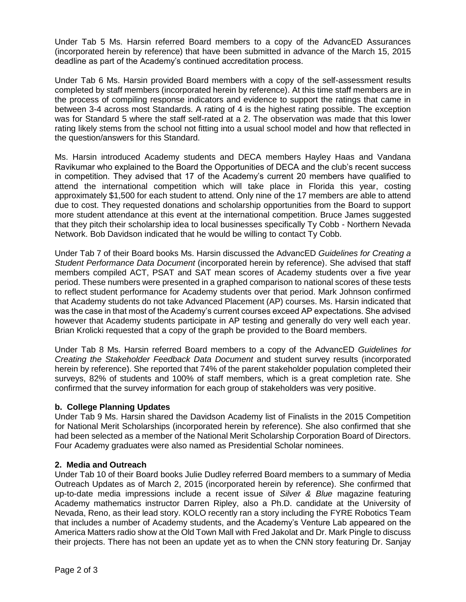Under Tab 5 Ms. Harsin referred Board members to a copy of the AdvancED Assurances (incorporated herein by reference) that have been submitted in advance of the March 15, 2015 deadline as part of the Academy's continued accreditation process.

Under Tab 6 Ms. Harsin provided Board members with a copy of the self-assessment results completed by staff members (incorporated herein by reference). At this time staff members are in the process of compiling response indicators and evidence to support the ratings that came in between 3-4 across most Standards. A rating of 4 is the highest rating possible. The exception was for Standard 5 where the staff self-rated at a 2. The observation was made that this lower rating likely stems from the school not fitting into a usual school model and how that reflected in the question/answers for this Standard.

Ms. Harsin introduced Academy students and DECA members Hayley Haas and Vandana Ravikumar who explained to the Board the Opportunities of DECA and the club's recent success in competition. They advised that 17 of the Academy's current 20 members have qualified to attend the international competition which will take place in Florida this year, costing approximately \$1,500 for each student to attend. Only nine of the 17 members are able to attend due to cost. They requested donations and scholarship opportunities from the Board to support more student attendance at this event at the international competition. Bruce James suggested that they pitch their scholarship idea to local businesses specifically Ty Cobb - Northern Nevada Network. Bob Davidson indicated that he would be willing to contact Ty Cobb.

Under Tab 7 of their Board books Ms. Harsin discussed the AdvancED *Guidelines for Creating a Student Performance Data Document* (incorporated herein by reference). She advised that staff members compiled ACT, PSAT and SAT mean scores of Academy students over a five year period. These numbers were presented in a graphed comparison to national scores of these tests to reflect student performance for Academy students over that period. Mark Johnson confirmed that Academy students do not take Advanced Placement (AP) courses. Ms. Harsin indicated that was the case in that most of the Academy's current courses exceed AP expectations. She advised however that Academy students participate in AP testing and generally do very well each year. Brian Krolicki requested that a copy of the graph be provided to the Board members.

Under Tab 8 Ms. Harsin referred Board members to a copy of the AdvancED *Guidelines for Creating the Stakeholder Feedback Data Document* and student survey results (incorporated herein by reference). She reported that 74% of the parent stakeholder population completed their surveys, 82% of students and 100% of staff members, which is a great completion rate. She confirmed that the survey information for each group of stakeholders was very positive.

# **b. College Planning Updates**

Under Tab 9 Ms. Harsin shared the Davidson Academy list of Finalists in the 2015 Competition for National Merit Scholarships (incorporated herein by reference). She also confirmed that she had been selected as a member of the National Merit Scholarship Corporation Board of Directors. Four Academy graduates were also named as Presidential Scholar nominees.

# **2. Media and Outreach**

Under Tab 10 of their Board books Julie Dudley referred Board members to a summary of Media Outreach Updates as of March 2, 2015 (incorporated herein by reference). She confirmed that up-to-date media impressions include a recent issue of *Silver & Blue* magazine featuring Academy mathematics instructor Darren Ripley, also a Ph.D. candidate at the University of Nevada, Reno, as their lead story. KOLO recently ran a story including the FYRE Robotics Team that includes a number of Academy students, and the Academy's Venture Lab appeared on the America Matters radio show at the Old Town Mall with Fred Jakolat and Dr. Mark Pingle to discuss their projects. There has not been an update yet as to when the CNN story featuring Dr. Sanjay